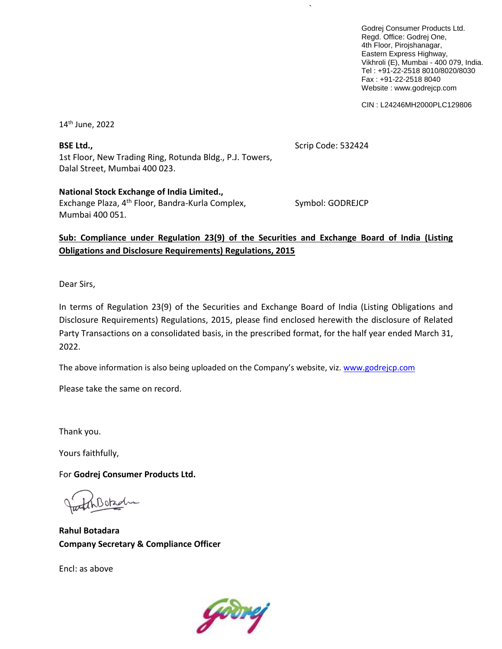Godrej Consumer Products Ltd. Regd. Office: Godrej One, 4th Floor, Pirojshanagar, Eastern Express Highway, Vikhroli (E), Mumbai - 400 079, India. Tel : +91-22-2518 8010/8020/8030 Fax : +91-22-2518 8040 Website : www.godrejcp.com

CIN : L24246MH2000PLC129806

14 th June, 2022

**BSE Ltd.,** Scrip Code: 532424 1st Floor, New Trading Ring, Rotunda Bldg., P.J. Towers, Dalal Street, Mumbai 400 023.

**National Stock Exchange of India Limited.,** Exchange Plaza, 4<sup>th</sup> Floor, Bandra-Kurla Complex, Symbol: GODREJCP Mumbai 400 051.

`

## **Sub: Compliance under Regulation 23(9) of the Securities and Exchange Board of India (Listing Obligations and Disclosure Requirements) Regulations, 2015**

Dear Sirs,

In terms of Regulation 23(9) of the Securities and Exchange Board of India (Listing Obligations and Disclosure Requirements) Regulations, 2015, please find enclosed herewith the disclosure of Related Party Transactions on a consolidated basis, in the prescribed format, for the half year ended March 31, 2022.

The above information is also being uploaded on the Company's website, viz. [www.godrejcp.com](http://www.godrejcp.com/)

Please take the same on record.

Thank you.

Yours faithfully,

For **Godrej Consumer Products Ltd.**

**Rahul Botadara Company Secretary & Compliance Officer**

Encl: as above

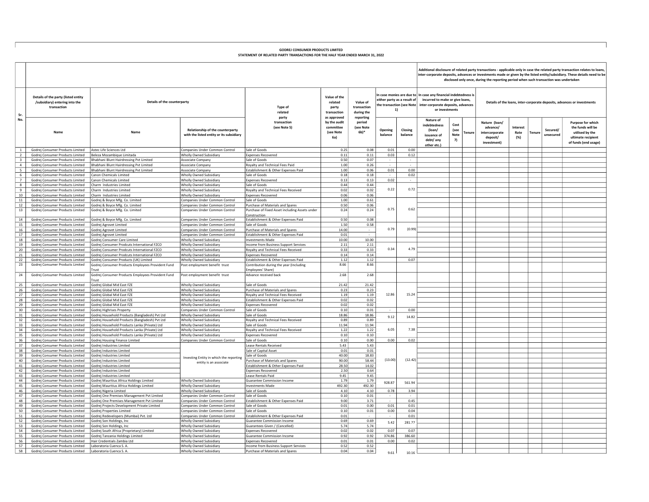## GODREJ CONSUMER PRODUCTS LIMITED STATEMENT OF RELATED PARTY TRANSACTIONS FOR THE HALF YEAR ENDED MARCH 31, 2022

Additional disclosure of related party transactions - applicable only in case the related party transaction relates to loans,<br>inter-corporate deposits, advances or investments made or given by the listed entity/subsidiary. disclosed only once, during the reporting period when such transaction was undertaken

|                                           |                                                                                      |                                                                                                  |                                                                              |                                                                  |                                                              |                                                    |                                   |                    | disclosed only once, during the reporting period when such transaction was undertaken                                                                                                    |                                      |                                                                         |                         |                                |                                                                                                         |  |  |  |
|-------------------------------------------|--------------------------------------------------------------------------------------|--------------------------------------------------------------------------------------------------|------------------------------------------------------------------------------|------------------------------------------------------------------|--------------------------------------------------------------|----------------------------------------------------|-----------------------------------|--------------------|------------------------------------------------------------------------------------------------------------------------------------------------------------------------------------------|--------------------------------------|-------------------------------------------------------------------------|-------------------------|--------------------------------|---------------------------------------------------------------------------------------------------------|--|--|--|
| Sr.                                       | Details of the party (listed entity<br>/subsidiary) entering into the<br>transaction | Details of the counterparty                                                                      |                                                                              | Type of<br>related                                               | Value of the<br>related<br>party<br>transaction              | Value of<br>transaction<br>during the              | either party as a result of<br>1) |                    | In case monies are due to   In case any financial indebtedness is<br>incurred to make or give loans,<br>the transaction (see Note   inter-corporate deposits, advances<br>or investments |                                      | Details of the loans, inter-corporate deposits, advances or investments |                         |                                |                                                                                                         |  |  |  |
| No.                                       | Name                                                                                 | Name                                                                                             | Relationship of the counterparty<br>with the listed entity or its subsidiary | party<br>transaction<br>(see Note 5)                             | as approved<br>by the audit<br>committee<br>(see Note<br>6a) | reporting<br>period<br>(see Note<br>6 <sup>h</sup> | Opening<br>balance                | Closing<br>balance | Nature of<br>indebtedness<br>(loan/<br>issuance of<br>debt/ any<br>other etc.                                                                                                            | Cost<br>(see<br>Tenure<br>Note<br>7) | Nature (loan/<br>advance/<br>intercorporate<br>deposit/<br>investment)  | Interest<br>Rate<br>(%) | Secured/<br>Tenur<br>unsecured | Purpose for which<br>the funds will be<br>utilised by the<br>ultimate recipient<br>of funds (end usage) |  |  |  |
| <sup>1</sup>                              | Godrej Consumer Products Limited                                                     | Astec Life Sciences Ltd                                                                          | Companies Under Common Control                                               | Sale of Goods                                                    | 0.25                                                         | 0.08                                               | 0.01                              | 0.00               |                                                                                                                                                                                          |                                      |                                                                         |                         |                                |                                                                                                         |  |  |  |
| 2                                         | Godrej Consumer Products Limited                                                     | Beleza Mozambique Limitada                                                                       | Wholly Owned Subsidiary                                                      | <b>Expenses Recovered</b>                                        | 0.11                                                         | 0.11                                               | 0.03                              | 0.12               |                                                                                                                                                                                          |                                      |                                                                         |                         |                                |                                                                                                         |  |  |  |
| $\overline{\mathbf{3}}$<br>$\overline{4}$ | Godrej Consumer Products Limited<br>Godrej Consumer Products Limited                 | Bhabhani Blunt Hairdressing Pvt Limited<br>Bhabhani Blunt Hairdressing Pyt Limited               | Associate Company                                                            | Sale of Goods<br>Royalty and Technical Fees Paid                 | 0.50<br>1.00                                                 | 0.07<br>0.26                                       | $\sim$                            | $\sim$<br>$\sim$   |                                                                                                                                                                                          |                                      |                                                                         |                         |                                |                                                                                                         |  |  |  |
| 5                                         | Godrej Consumer Products Limited                                                     | Bhabhani Blunt Hairdressing Pvt Limited                                                          | Associate Company<br>Associate Company                                       | Establishment & Other Expenses Paid                              | 1.00                                                         | 0.06                                               | 0.01                              | 0.00               |                                                                                                                                                                                          |                                      |                                                                         |                         |                                |                                                                                                         |  |  |  |
| 6                                         | Godrei Consumer Products Limited                                                     | Canon Chemicals Limited                                                                          | Wholly Owned Subsidiary                                                      | Sale of Goods                                                    | 0.18                                                         | 0.18                                               |                                   | 0.02               |                                                                                                                                                                                          |                                      |                                                                         |                         |                                |                                                                                                         |  |  |  |
| $7^{\circ}$                               | Godrei Consumer Products Limited                                                     | Canon Chemicals Limited                                                                          | Wholly Owned Subsidiary                                                      | Exnenses Recovered                                               | 0.13                                                         | 0.13                                               | 0.02                              | $\sim$             |                                                                                                                                                                                          |                                      |                                                                         |                         |                                |                                                                                                         |  |  |  |
| 8                                         | Godrej Consumer Products Limited                                                     | Charm Industries Limited                                                                         | Wholly Owned Subsidiary                                                      | Sale of Goods                                                    | 0.44                                                         | 0.44                                               |                                   |                    |                                                                                                                                                                                          |                                      |                                                                         |                         |                                |                                                                                                         |  |  |  |
| 9                                         | Godrej Consumer Products Limited                                                     | Charm Industries Limited                                                                         | Wholly Owned Subsidiary                                                      | Royalty and Technical Fees Received                              | 0.02                                                         | 0.02                                               | 0.22                              | 0.72               |                                                                                                                                                                                          |                                      |                                                                         |                         |                                |                                                                                                         |  |  |  |
| 10                                        | Godrej Consumer Products Limited                                                     | Charm Industries Limited                                                                         | Wholly Owned Subsidiary                                                      | <b>Expenses Recovered</b>                                        | 0.06                                                         | 0.06                                               |                                   |                    |                                                                                                                                                                                          |                                      |                                                                         |                         |                                |                                                                                                         |  |  |  |
| 11<br>12                                  | Godrej Consumer Products Limited                                                     | Godrej & Boyce Mfg. Co. Limited                                                                  | Companies Under Common Control<br>Companies Under Common Control             | Sale of Goods<br>Purchase of Materials and Spares                | 1.00<br>0.50                                                 | 0.61<br>0.06                                       |                                   |                    |                                                                                                                                                                                          |                                      |                                                                         |                         |                                |                                                                                                         |  |  |  |
| 13                                        | Godrej Consumer Products Limited<br>Godrej Consumer Products Limited                 | Godrej & Boyce Mfg. Co. Limited<br>Godrej & Boyce Mfg. Co. Limited                               | Companies Under Common Control                                               | Purchase of Fixed Asset including Assets under                   | 0.24                                                         | 0.24                                               | 0.75                              | 0.62               |                                                                                                                                                                                          |                                      |                                                                         |                         |                                |                                                                                                         |  |  |  |
|                                           |                                                                                      |                                                                                                  |                                                                              | construction                                                     |                                                              |                                                    |                                   |                    |                                                                                                                                                                                          |                                      |                                                                         |                         |                                |                                                                                                         |  |  |  |
| 14                                        | Godrej Consumer Products Limited                                                     | Godrej & Boyce Mfg. Co. Limited                                                                  | Companies Under Common Control                                               | Establishment & Other Expenses Paid                              | 0.50                                                         | 0.08                                               |                                   |                    |                                                                                                                                                                                          |                                      |                                                                         |                         |                                |                                                                                                         |  |  |  |
| 15                                        | Godrej Consumer Products Limited                                                     | Godrej Agrovet Limited                                                                           | Companies Under Common Control                                               | Sale of Goods                                                    | 1.50                                                         | 0.58                                               |                                   |                    |                                                                                                                                                                                          |                                      |                                                                         |                         |                                |                                                                                                         |  |  |  |
| 16                                        | Godrej Consumer Products Limited                                                     | Godrej Agrovet Limited                                                                           | Companies Under Common Control                                               | Purchase of Materials and Spares                                 | 14.00                                                        |                                                    | 0.79                              | (0.99)             |                                                                                                                                                                                          |                                      |                                                                         |                         |                                |                                                                                                         |  |  |  |
| 17                                        | Godrej Consumer Products Limited                                                     | Godrej Agrovet Limited                                                                           | Companies Under Common Control                                               | Establishment & Other Expenses Paid                              | 0.01                                                         | $\sim$                                             |                                   |                    |                                                                                                                                                                                          |                                      |                                                                         |                         |                                |                                                                                                         |  |  |  |
| 18<br>19                                  | Godrej Consumer Products Limited<br>Godrej Consumer Products Limited                 | Godrei Consumer Care Limited<br>Godrej Consumer Prodcuts International FZCO                      | Wholly Owned Subsidiary<br>Wholly Owned Subsidiary                           | <b>Investments Made</b><br>Income from Business Support Services | 10.00<br>2.11                                                | 10.00<br>2.11                                      |                                   |                    |                                                                                                                                                                                          |                                      |                                                                         |                         |                                |                                                                                                         |  |  |  |
| 20                                        | Godrej Consumer Products Limited                                                     | Godrej Consumer Prodcuts International FZCO                                                      | Wholly Owned Subsidiary                                                      | Royalty and Technical Fees Received                              | 0.33                                                         | 0.33                                               | 0.34                              | 4.79               |                                                                                                                                                                                          |                                      |                                                                         |                         |                                |                                                                                                         |  |  |  |
| 21                                        | Godrej Consumer Products Limited                                                     | Godrej Consumer Prodcuts International FZCO                                                      | Wholly Owned Subsidiary                                                      | <b>Expenses Recovered</b>                                        | 0.14                                                         | 0.14                                               |                                   |                    |                                                                                                                                                                                          |                                      |                                                                         |                         |                                |                                                                                                         |  |  |  |
| 22                                        | Godrej Consumer Products Limited                                                     | Godrej Consumer Products (UK) Limited                                                            | Wholly Owned Subsidiary                                                      | Establishment & Other Expenses Paid                              | 1.12                                                         | 1.12                                               |                                   | 0.07               |                                                                                                                                                                                          |                                      |                                                                         |                         |                                |                                                                                                         |  |  |  |
| 23                                        | Godrej Consumer Products Limited                                                     | Godrej Consumer Products Employees Provident Fund                                                | Post employment benefit trust                                                | Contribution during the year (Including                          | 8.66                                                         | 8.66                                               |                                   |                    |                                                                                                                                                                                          |                                      |                                                                         |                         |                                |                                                                                                         |  |  |  |
| 24                                        | Godrej Consumer Products Limited                                                     | <b>Trust</b><br>Godrej Consumer Products Employees Provident Fund                                | Post employment benefit trust                                                | mployees' Share)<br>Advance received back                        | 2.68                                                         | 2.68                                               |                                   |                    |                                                                                                                                                                                          |                                      |                                                                         |                         |                                |                                                                                                         |  |  |  |
| 25                                        | Godrej Consumer Products Limited                                                     | Trust<br>Godrej Global Mid East FZE                                                              | Wholly Owned Subsidiary                                                      | Sale of Goods                                                    | 21.42                                                        | 21.42                                              |                                   |                    |                                                                                                                                                                                          |                                      |                                                                         |                         |                                |                                                                                                         |  |  |  |
| 26                                        | Godrej Consumer Products Limited                                                     | Godrej Global Mid East FZE                                                                       | Wholly Owned Subsidiary                                                      | Purchase of Materials and Spares                                 | 0.23                                                         | 0.23                                               |                                   |                    |                                                                                                                                                                                          |                                      |                                                                         |                         |                                |                                                                                                         |  |  |  |
| 27                                        | Godrei Consumer Products Limited                                                     | Godrej Global Mid East FZE                                                                       | Wholly Owned Subsidiary                                                      | Rovalty and Technical Fees Received                              | 1.19                                                         | 1.19                                               | 12.86                             | 15.24              |                                                                                                                                                                                          |                                      |                                                                         |                         |                                |                                                                                                         |  |  |  |
| 28                                        | Godrei Consumer Products Limited                                                     | Godrej Global Mid East FZE                                                                       | Wholly Owned Subsidiary                                                      | Establishment & Other Expenses Paid                              | 0.02                                                         | 0.02                                               |                                   |                    |                                                                                                                                                                                          |                                      |                                                                         |                         |                                |                                                                                                         |  |  |  |
| 29                                        | Godrei Consumer Products Limited                                                     | Godrei Global Mid East FZE                                                                       | Wholly Owned Subsidiary                                                      | xpenses Recovered                                                | 0.02                                                         | 0.02                                               |                                   |                    |                                                                                                                                                                                          |                                      |                                                                         |                         |                                |                                                                                                         |  |  |  |
| 30                                        | Godrei Consumer Products Limited                                                     | Godrej Highrises Property                                                                        | Companies Under Common Control                                               | Sale of Goods                                                    | 0.10                                                         | 0.01                                               |                                   | 0.00               |                                                                                                                                                                                          |                                      |                                                                         |                         |                                |                                                                                                         |  |  |  |
| 31<br>32                                  | Godrei Consumer Products Limited<br>Godrei Consumer Products Limited                 | Godrej Household Products (Bangladesh) Pvt Ltd<br>Godrej Household Products (Bangladesh) Pvt Ltd | Wholly Owned Subsidiary<br>Wholly Owned Subsidiary                           | Sale of Goods<br>Royalty and Technical Fees Received             | 18.86<br>0.89                                                | 18.86<br>0.89                                      | 9.12                              | 14.82              |                                                                                                                                                                                          |                                      |                                                                         |                         |                                |                                                                                                         |  |  |  |
| 33                                        | Godrei Consumer Products Limited                                                     | Godrej Household Products Lanka (Private) Ltd                                                    | Wholly Owned Subsidiary                                                      | Sale of Goods                                                    | 11.94                                                        | 11.94                                              |                                   |                    |                                                                                                                                                                                          |                                      |                                                                         |                         |                                |                                                                                                         |  |  |  |
| 34                                        | Godrej Consumer Products Limited                                                     | Godrej Household Products Lanka (Private) Ltd                                                    | Wholly Owned Subsidiary                                                      | Royalty and Technical Fees Received                              | 1.22                                                         | 1.22                                               | 6.05                              | 7.38               |                                                                                                                                                                                          |                                      |                                                                         |                         |                                |                                                                                                         |  |  |  |
| 35                                        | Godrej Consumer Products Limited                                                     | Godrej Household Products Lanka (Private) Ltd                                                    | Wholly Owned Subsidiary                                                      | Expenses Recovered                                               | 0.10                                                         | 0.10                                               |                                   |                    |                                                                                                                                                                                          |                                      |                                                                         |                         |                                |                                                                                                         |  |  |  |
| 36                                        | Godrei Consumer Products Limited                                                     | Godrej Housing Finance Limited                                                                   | Companies Under Common Control                                               | Sale of Goods                                                    | 0.10                                                         | 0.00                                               | 0.00                              | 0.02               |                                                                                                                                                                                          |                                      |                                                                         |                         |                                |                                                                                                         |  |  |  |
| 37                                        | Godrej Consumer Products Limited                                                     | Godrej Industries Limited                                                                        |                                                                              | Lease Rentals Received                                           | 5.43                                                         | 5.43                                               |                                   |                    |                                                                                                                                                                                          |                                      |                                                                         |                         |                                |                                                                                                         |  |  |  |
| 38                                        | Godrej Consumer Products Limited                                                     | Godrej Industries Limited                                                                        |                                                                              | Sale of Capital Asset                                            | 0.01<br>40.00                                                | 0.01                                               |                                   |                    |                                                                                                                                                                                          |                                      |                                                                         |                         |                                |                                                                                                         |  |  |  |
| 39<br>40                                  | Godrej Consumer Products Limited<br>Godrej Consumer Products Limited                 | Godrej Industries Limited<br>Godrej Industries Limited                                           | Investing Entity in which the reporting                                      | Sale of Goods<br>Purchase of Materials and Spares                | 90.00                                                        | 18.83<br>58.44                                     | (13.00)                           | (12.42)            |                                                                                                                                                                                          |                                      |                                                                         |                         |                                |                                                                                                         |  |  |  |
| 41                                        | Godrei Consumer Products Limited                                                     | Godrej Industries Limited                                                                        | entity is an associate                                                       | Establishment & Other Expenses Paid                              | 28.50                                                        | 14.02                                              |                                   |                    |                                                                                                                                                                                          |                                      |                                                                         |                         |                                |                                                                                                         |  |  |  |
| 42                                        | Godrej Consumer Products Limited                                                     | Godrej Industries Limited                                                                        |                                                                              | <b>Expenses Recovered</b>                                        | 2.50                                                         | 0.64                                               |                                   |                    |                                                                                                                                                                                          |                                      |                                                                         |                         |                                |                                                                                                         |  |  |  |
| 43                                        | Godrei Consumer Products Limited                                                     | Godrej Industries Limited                                                                        |                                                                              | Lease Rentals Paid                                               | 9.45                                                         | 9.45                                               |                                   |                    |                                                                                                                                                                                          |                                      |                                                                         |                         |                                |                                                                                                         |  |  |  |
| 44                                        | Godrei Consumer Products Limited                                                     | Godrei Mauritius Africa Holdings Limited                                                         | Wholly Owned Subsidiary                                                      | Guarantee Commission Income                                      | 1.79                                                         | 1.79                                               | 928.87                            | 561.94             |                                                                                                                                                                                          |                                      |                                                                         |                         |                                |                                                                                                         |  |  |  |
| 45                                        | Godrej Consumer Products Limited                                                     | Godrej Mauritius Africa Holdings Limited                                                         | Wholly Owned Subsidiary                                                      | <b>Investments Made</b>                                          | 492.30                                                       | 492.30                                             |                                   |                    |                                                                                                                                                                                          |                                      |                                                                         |                         |                                |                                                                                                         |  |  |  |
| 46<br>47                                  | Godrei Consumer Products Limited<br>Godrei Consumer Products Limited                 | Godrej Nigeria Limited<br>Godrej One Premises Management Pvt Limited                             | Wholly Owned Subsidiary<br>Companies Under Common Control                    | Sale of Goods<br>Sale of Goods                                   | 4.10<br>0.10                                                 | 4.10<br>0.01                                       | 0.78                              | 3.94               |                                                                                                                                                                                          |                                      |                                                                         |                         |                                |                                                                                                         |  |  |  |
| 48                                        | Godrej Consumer Products Limited                                                     | Godrej One Premises Management Pvt Limited                                                       | Companies Under Common Control                                               | Establishment & Other Expenses Paid                              | 9.00                                                         | 3.71                                               |                                   | 0.45               |                                                                                                                                                                                          |                                      |                                                                         |                         |                                |                                                                                                         |  |  |  |
| 49                                        | Godrej Consumer Products Limited                                                     | Godrej Projects Development Private Limited                                                      | Companies Under Common Control                                               | Sale of Goods                                                    | 0.01                                                         | 0.00                                               | 0.01                              | 0.01               |                                                                                                                                                                                          |                                      |                                                                         |                         |                                |                                                                                                         |  |  |  |
| 50                                        | Godrei Consumer Products Limited                                                     | Godrej Properties Limited                                                                        | Companies Under Common Control                                               | Sale of Goods                                                    | 0.10                                                         | 0.01                                               | 0.00                              | 0.04               |                                                                                                                                                                                          |                                      |                                                                         |                         |                                |                                                                                                         |  |  |  |
| 51                                        | Godrej Consumer Products Limited                                                     | Godrej Redevelopers (Mumbai) Pvt. Ltd                                                            | Companies Under Common Control                                               | Establishment & Other Expenses Paid                              | 0.01                                                         |                                                    |                                   | 0.01               |                                                                                                                                                                                          |                                      |                                                                         |                         |                                |                                                                                                         |  |  |  |
| 52                                        | Godrei Consumer Products Limited                                                     | Godrei Son Holdings, Inc                                                                         | Wholly Owned Subsidiary                                                      | <b>Guarantee Commission Income</b>                               | 0.69                                                         | 0.69                                               | 5.42                              | 281.77             |                                                                                                                                                                                          |                                      |                                                                         |                         |                                |                                                                                                         |  |  |  |
| 53<br>54                                  | Godrej Consumer Products Limited<br>Godrej Consumer Products Limited                 | Godrej Son Holdings, Inc<br>Godrej South Africa (Proprietary) Limited                            | Wholly Owned Subsidiary<br>Wholly Owned Subsidiary                           | Guarantees Given / (Cancelled)<br><b>Expenses Recovered</b>      | 5.74<br>0.02                                                 | 5.74<br>0.02                                       | 0.07                              | 0.07               |                                                                                                                                                                                          |                                      |                                                                         |                         |                                |                                                                                                         |  |  |  |
| 55                                        | Godrei Consumer Products Limited                                                     | Godrej Tanzania Holdings Limited                                                                 | Wholly Owned Subsidiary                                                      | <b>Guarantee Commission Income</b>                               | 0.92                                                         | 0.92                                               | 374.86                            | 386.60             |                                                                                                                                                                                          |                                      |                                                                         |                         |                                |                                                                                                         |  |  |  |
| 56                                        | Godrej Consumer Products Limited                                                     | Hair Credentials Zambia Ltd                                                                      | Wholly Owned Subsidiary                                                      | <b>Expenses Recovered</b>                                        | 0.01                                                         | 0.01                                               | 0.00                              | 0.02               |                                                                                                                                                                                          |                                      |                                                                         |                         |                                |                                                                                                         |  |  |  |
| 57                                        | Godrej Consumer Products Limited                                                     | Laboratoria Cuenca S. A.                                                                         | Wholly Owned Subsidiary                                                      | Income from Business Support Services                            | 0.52                                                         | 0.52                                               |                                   |                    |                                                                                                                                                                                          |                                      |                                                                         |                         |                                |                                                                                                         |  |  |  |
| - 58 l                                    | Godrej Consumer Products Limited                                                     | Laboratoria Cuenca S. A.                                                                         | Wholly Owned Subsidiary                                                      | Purchase of Materials and Spares                                 | 0.04                                                         | 0.04                                               | 9.61                              | 10.16              |                                                                                                                                                                                          |                                      |                                                                         |                         |                                |                                                                                                         |  |  |  |